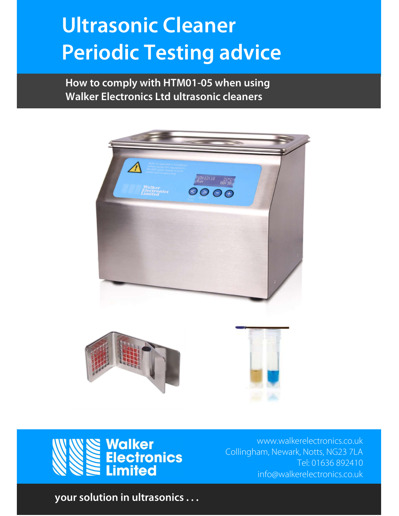# Ultrasonic Cleaner Periodic Testing advice

How to comply with HTM01-05 when using Walker Electronics Ltd ultrasonic cleaners





www.walkerelectronics.co.uk Collingham, Newark, Notts, NG23 7LA Tel: 01636 892410 info@walkerelectronics.co.uk

your solution in ultrasonics . . .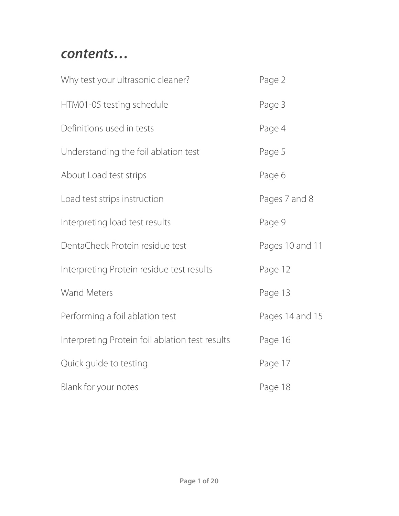#### contents…

| Why test your ultrasonic cleaner?               | Page 2          |
|-------------------------------------------------|-----------------|
| HTM01-05 testing schedule                       | Page 3          |
| Definitions used in tests                       | Page 4          |
| Understanding the foil ablation test            | Page 5          |
| About Load test strips                          | Page 6          |
| Load test strips instruction                    | Pages 7 and 8   |
| Interpreting load test results                  | Page 9          |
| DentaCheck Protein residue test                 | Pages 10 and 11 |
| Interpreting Protein residue test results       | Page 12         |
| <b>Wand Meters</b>                              | Page 13         |
| Performing a foil ablation test                 | Pages 14 and 15 |
| Interpreting Protein foil ablation test results | Page 16         |
| Quick guide to testing                          | Page 17         |
| Blank for your notes                            | Page 18         |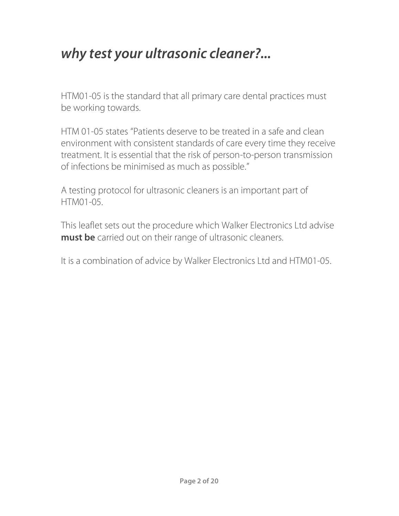## why test your ultrasonic cleaner?...

HTM01-05 is the standard that all primary care dental practices must be working towards.

HTM 01-05 states "Patients deserve to be treated in a safe and clean environment with consistent standards of care every time they receive treatment. It is essential that the risk of person-to-person transmission of infections be minimised as much as possible."

A testing protocol for ultrasonic cleaners is an important part of HTM01-05.

This leaflet sets out the procedure which Walker Electronics Ltd advise must be carried out on their range of ultrasonic cleaners.

It is a combination of advice by Walker Electronics Ltd and HTM01-05.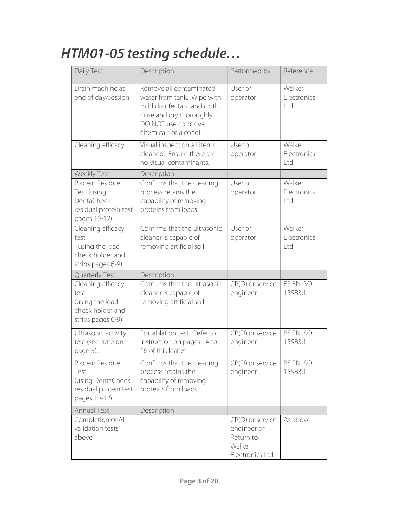## HTM01-05 testing schedule…

| Daily Test                                                                             | Description                                                                                                                                                         | Performed by                                                                | Reference                    |
|----------------------------------------------------------------------------------------|---------------------------------------------------------------------------------------------------------------------------------------------------------------------|-----------------------------------------------------------------------------|------------------------------|
| Drain machine at<br>end of day/session.                                                | Remove all contaminated<br>water from tank. Wipe with<br>mild disinfectant and cloth,<br>rinse and dry thoroughly.<br>DO NOT use corrosive<br>chemicals or alcohol. | User or<br>operator                                                         | Walker<br>Electronics<br>Ltd |
| Cleaning efficacy.                                                                     | Visual inspection all items<br>cleaned. Ensure there are<br>no visual contaminants.                                                                                 | User or<br>operator                                                         | Walker<br>Electronics<br>Ltd |
| <b>Weekly Test</b>                                                                     | Description                                                                                                                                                         |                                                                             |                              |
| Protein Residue<br>Test (using<br>DentaCheck<br>residual protein test<br>pages 10-12). | Confirms that the cleaning<br>process retains the<br>capability of removing<br>proteins from loads.                                                                 | User or<br>operator                                                         | Walker<br>Electronics<br>Ltd |
| Cleaning efficacy<br>test<br>(using the load<br>check holder and<br>strips pages 6-9). | Confirms that the ultrasonic<br>cleaner is capable of<br>removing artificial soil.                                                                                  | User or<br>operator                                                         | Walker<br>Electronics<br>Ltd |
| Quarterly Test                                                                         | Description                                                                                                                                                         |                                                                             |                              |
| Cleaning efficacy<br>test<br>(using the load<br>check holder and<br>strips pages 6-9)  | Confirms that the ultrasonic<br>cleaner is capable of<br>removing artificial soil.                                                                                  | CP(D) or service<br>engineer                                                | <b>BS EN ISO</b><br>15583:1  |
| Ultrasonic activity<br>test (see note on<br>page 5).                                   | Foil ablation test. Refer to<br>instruction on pages 14 to<br>16 of this leaflet.                                                                                   | CP(D) or service<br>engineer                                                | <b>BS EN ISO</b><br>15583:1  |
| Protein Residue<br>Test<br>(using DentaCheck<br>residual protein test<br>pages 10-12). | Confirms that the cleaning<br>process retains the<br>capability of removing<br>proteins from loads.                                                                 | $CP(D)$ or service<br>engineer                                              | <b>BS EN ISO</b><br>15583:1  |
| <b>Annual Test</b>                                                                     | Description                                                                                                                                                         |                                                                             |                              |
| Completion of ALL<br>validation tests<br>above                                         |                                                                                                                                                                     | $CP(D)$ or service<br>engineer or<br>Return to<br>Walker<br>Electronics Ltd | As above                     |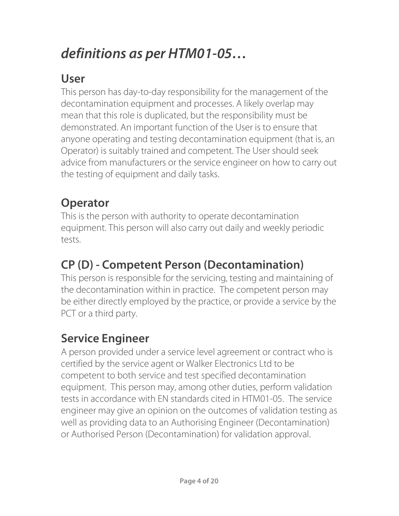## definitions as per HTM01-05…

#### User

This person has day-to-day responsibility for the management of the decontamination equipment and processes. A likely overlap may mean that this role is duplicated, but the responsibility must be demonstrated. An important function of the User is to ensure that anyone operating and testing decontamination equipment (that is, an Operator) is suitably trained and competent. The User should seek advice from manufacturers or the service engineer on how to carry out the testing of equipment and daily tasks.

#### **Operator**

This is the person with authority to operate decontamination equipment. This person will also carry out daily and weekly periodic tests.

#### CP (D) - Competent Person (Decontamination)

This person is responsible for the servicing, testing and maintaining of the decontamination within in practice. The competent person may be either directly employed by the practice, or provide a service by the PCT or a third party.

#### Service Engineer

A person provided under a service level agreement or contract who is certified by the service agent or Walker Electronics Ltd to be competent to both service and test specified decontamination equipment. This person may, among other duties, perform validation tests in accordance with EN standards cited in HTM01-05. The service engineer may give an opinion on the outcomes of validation testing as well as providing data to an Authorising Engineer (Decontamination) or Authorised Person (Decontamination) for validation approval.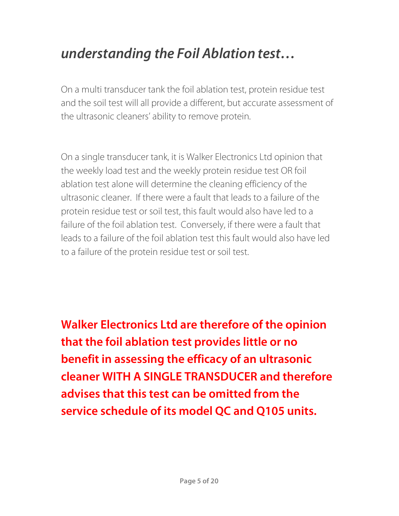## understanding the Foil Ablation test…

On a multi transducer tank the foil ablation test, protein residue test and the soil test will all provide a different, but accurate assessment of the ultrasonic cleaners' ability to remove protein.

On a single transducer tank, it is Walker Electronics Ltd opinion that the weekly load test and the weekly protein residue test OR foil ablation test alone will determine the cleaning efficiency of the ultrasonic cleaner. If there were a fault that leads to a failure of the protein residue test or soil test, this fault would also have led to a failure of the foil ablation test. Conversely, if there were a fault that leads to a failure of the foil ablation test this fault would also have led to a failure of the protein residue test or soil test.

Walker Electronics Ltd are therefore of the opinion that the foil ablation test provides little or no benefit in assessing the efficacy of an ultrasonic cleaner WITH A SINGLE TRANSDUCER and therefore advises that this test can be omitted from the service schedule of its model QC and Q105 units.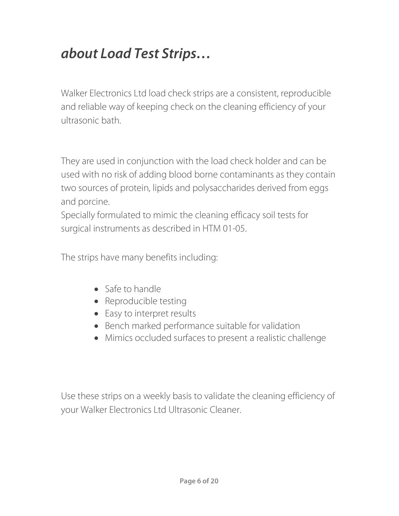## about Load Test Strips…

Walker Electronics Ltd load check strips are a consistent, reproducible and reliable way of keeping check on the cleaning efficiency of your ultrasonic bath.

They are used in conjunction with the load check holder and can be used with no risk of adding blood borne contaminants as they contain two sources of protein, lipids and polysaccharides derived from eggs and porcine.

Specially formulated to mimic the cleaning efficacy soil tests for surgical instruments as described in HTM 01-05.

The strips have many benefits including:

- Safe to handle
- Reproducible testing
- Easy to interpret results
- Bench marked performance suitable for validation
- Mimics occluded surfaces to present a realistic challenge

Use these strips on a weekly basis to validate the cleaning efficiency of your Walker Electronics Ltd Ultrasonic Cleaner.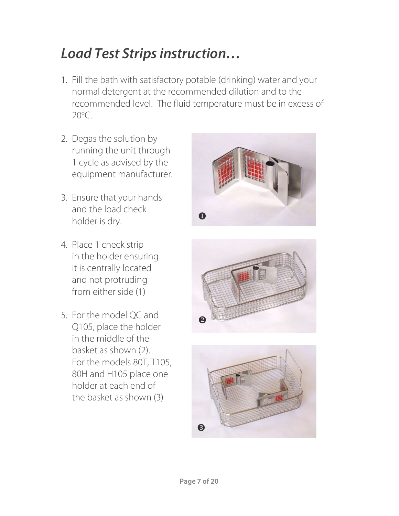## Load Test Strips instruction…

- 1. Fill the bath with satisfactory potable (drinking) water and your normal detergent at the recommended dilution and to the recommended level. The fluid temperature must be in excess of  $20^{\circ}$ C.
- 2. Degas the solution by running the unit through 1 cycle as advised by the equipment manufacturer.
- 3. Ensure that your hands and the load check holder is dry.
- 4. Place 1 check strip in the holder ensuring it is centrally located and not protruding from either side (1)
- 5. For the model QC and Q105, place the holder in the middle of the basket as shown (2). For the models 80T, T105, 80H and H105 place one holder at each end of the basket as shown (3)





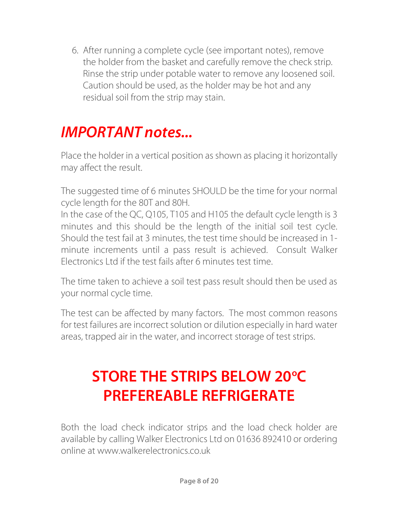6. After running a complete cycle (see important notes), remove the holder from the basket and carefully remove the check strip. Rinse the strip under potable water to remove any loosened soil. Caution should be used, as the holder may be hot and any residual soil from the strip may stain.

## IMPORTANT notes...

Place the holder in a vertical position as shown as placing it horizontally may affect the result.

The suggested time of 6 minutes SHOULD be the time for your normal cycle length for the 80T and 80H.

In the case of the QC, Q105, T105 and H105 the default cycle length is 3 minutes and this should be the length of the initial soil test cycle. Should the test fail at 3 minutes, the test time should be increased in 1 minute increments until a pass result is achieved. Consult Walker Electronics Ltd if the test fails after 6 minutes test time.

The time taken to achieve a soil test pass result should then be used as your normal cycle time.

The test can be affected by many factors. The most common reasons for test failures are incorrect solution or dilution especially in hard water areas, trapped air in the water, and incorrect storage of test strips.

## STORE THE STRIPS BELOW 20°C PREFEREABLE REFRIGERATE

Both the load check indicator strips and the load check holder are available by calling Walker Electronics Ltd on 01636 892410 or ordering online at www.walkerelectronics.co.uk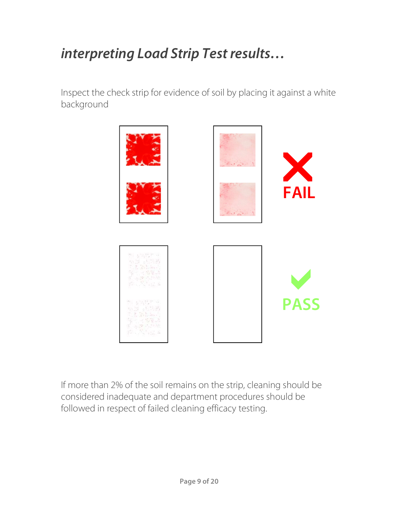## interpreting Load Strip Test results…

Inspect the check strip for evidence of soil by placing it against a white background



If more than 2% of the soil remains on the strip, cleaning should be considered inadequate and department procedures should be followed in respect of failed cleaning efficacy testing.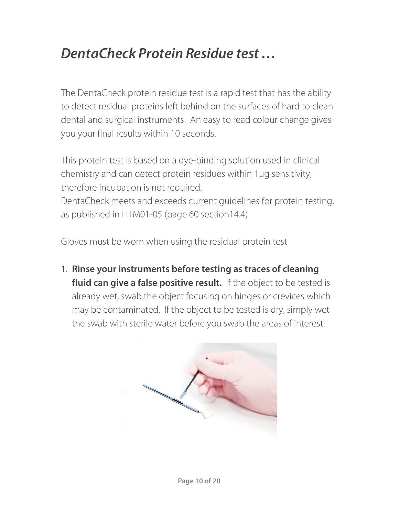## DentaCheck Protein Residue test …

The DentaCheck protein residue test is a rapid test that has the ability to detect residual proteins left behind on the surfaces of hard to clean dental and surgical instruments. An easy to read colour change gives you your final results within 10 seconds.

This protein test is based on a dye-binding solution used in clinical chemistry and can detect protein residues within 1ug sensitivity, therefore incubation is not required.

DentaCheck meets and exceeds current guidelines for protein testing, as published in HTM01-05 (page 60 section14.4)

Gloves must be worn when using the residual protein test

1. Rinse your instruments before testing as traces of cleaning fluid can give a false positive result. If the object to be tested is already wet, swab the object focusing on hinges or crevices which may be contaminated. If the object to be tested is dry, simply wet the swab with sterile water before you swab the areas of interest.

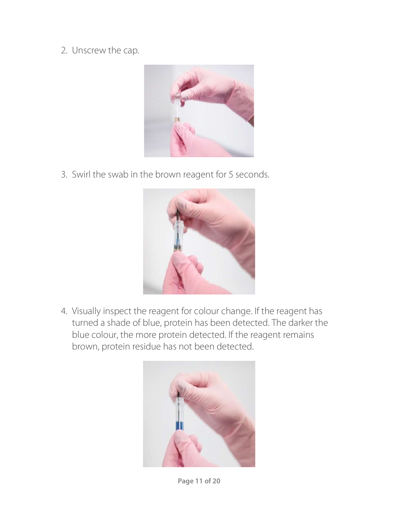2. Unscrew the cap.



3. Swirl the swab in the brown reagent for 5 seconds.



4. Visually inspect the reagent for colour change. If the reagent has turned a shade of blue, protein has been detected. The darker the blue colour, the more protein detected. If the reagent remains brown, protein residue has not been detected.

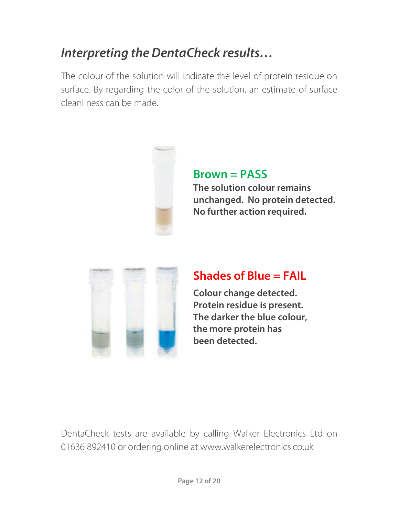### Interpreting the DentaCheck results…

The colour of the solution will indicate the level of protein residue on surface. By regarding the color of the solution, an estimate of surface cleanliness can be made.



#### Brown = PASS

The solution colour remains unchanged. No protein detected. No further action required.



#### Shades of Blue  $=$  FAIL

Colour change detected. Protein residue is present. The darker the blue colour, the more protein has been detected.

DentaCheck tests are available by calling Walker Electronics Ltd on 01636 892410 or ordering online at www.walkerelectronics.co.uk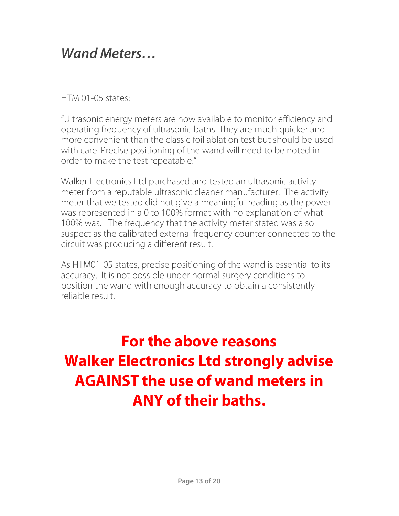#### Wand Meters…

HTM 01-05 states:

"Ultrasonic energy meters are now available to monitor efficiency and operating frequency of ultrasonic baths. They are much quicker and more convenient than the classic foil ablation test but should be used with care. Precise positioning of the wand will need to be noted in order to make the test repeatable."

Walker Electronics Ltd purchased and tested an ultrasonic activity meter from a reputable ultrasonic cleaner manufacturer. The activity meter that we tested did not give a meaningful reading as the power was represented in a 0 to 100% format with no explanation of what 100% was. The frequency that the activity meter stated was also suspect as the calibrated external frequency counter connected to the circuit was producing a different result.

As HTM01-05 states, precise positioning of the wand is essential to its accuracy. It is not possible under normal surgery conditions to position the wand with enough accuracy to obtain a consistently reliable result.

For the above reasons Walker Electronics Ltd strongly advise AGAINST the use of wand meters in ANY of their baths.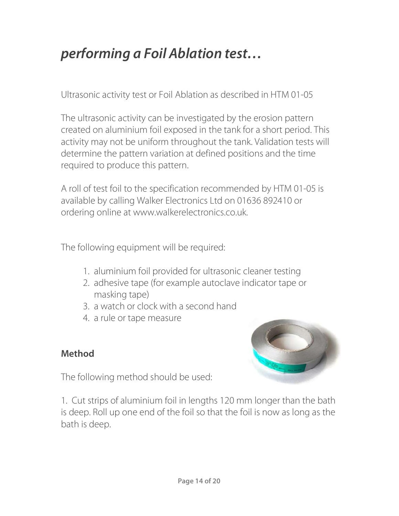## performing a Foil Ablation test…

Ultrasonic activity test or Foil Ablation as described in HTM 01-05

The ultrasonic activity can be investigated by the erosion pattern created on aluminium foil exposed in the tank for a short period. This activity may not be uniform throughout the tank. Validation tests will determine the pattern variation at defined positions and the time required to produce this pattern.

A roll of test foil to the specification recommended by HTM 01-05 is available by calling Walker Electronics Ltd on 01636 892410 or ordering online at www.walkerelectronics.co.uk.

The following equipment will be required:

- 1. aluminium foil provided for ultrasonic cleaner testing
- 2. adhesive tape (for example autoclave indicator tape or masking tape)
- 3. a watch or clock with a second hand
- 4. a rule or tape measure

#### Method



The following method should be used:

1. Cut strips of aluminium foil in lengths 120 mm longer than the bath is deep. Roll up one end of the foil so that the foil is now as long as the bath is deep.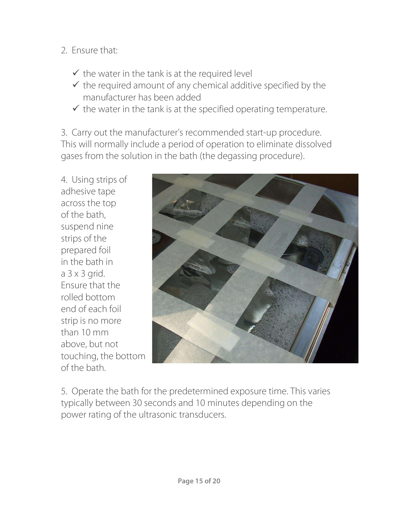#### 2. Ensure that:

- $\checkmark$  the water in the tank is at the required level
- $\checkmark$  the required amount of any chemical additive specified by the manufacturer has been added
- $\checkmark$  the water in the tank is at the specified operating temperature.

3. Carry out the manufacturer's recommended start-up procedure. This will normally include a period of operation to eliminate dissolved gases from the solution in the bath (the degassing procedure).

4. Using strips of adhesive tape across the top of the bath, suspend nine strips of the prepared foil in the bath in a 3 x 3 grid. Ensure that the rolled bottom end of each foil strip is no more than 10 mm above, but not touching, the bottom of the bath.



5. Operate the bath for the predetermined exposure time. This varies typically between 30 seconds and 10 minutes depending on the power rating of the ultrasonic transducers.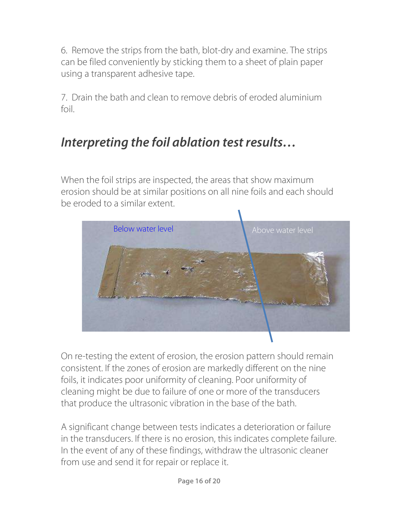6. Remove the strips from the bath, blot-dry and examine. The strips can be filed conveniently by sticking them to a sheet of plain paper using a transparent adhesive tape.

7. Drain the bath and clean to remove debris of eroded aluminium foil.

### Interpreting the foil ablation test results…

When the foil strips are inspected, the areas that show maximum erosion should be at similar positions on all nine foils and each should be eroded to a similar extent.



On re-testing the extent of erosion, the erosion pattern should remain consistent. If the zones of erosion are markedly different on the nine foils, it indicates poor uniformity of cleaning. Poor uniformity of cleaning might be due to failure of one or more of the transducers that produce the ultrasonic vibration in the base of the bath.

A significant change between tests indicates a deterioration or failure in the transducers. If there is no erosion, this indicates complete failure. In the event of any of these findings, withdraw the ultrasonic cleaner from use and send it for repair or replace it.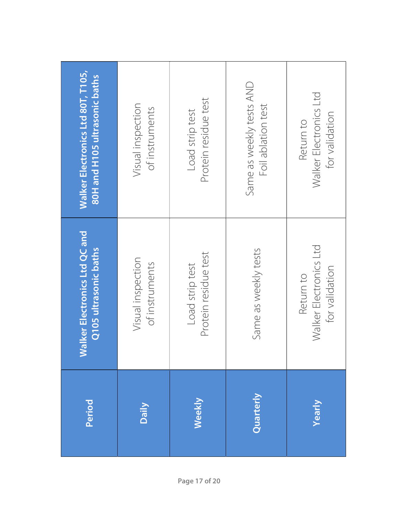|               | Period    | Valker Electronics Ltd QC and<br>Q105 ultrasonic baths | Walker Electronics Ltd 80T, T105,<br>80H and H105 ultrasonic baths |
|---------------|-----------|--------------------------------------------------------|--------------------------------------------------------------------|
|               | Daily     | Visual inspection<br>of instruments                    | Visual inspection<br>of instruments                                |
| Page 17 of 20 | Weekly    | Protein residue test<br>Load strip test                | Protein residue test<br>Load strip test                            |
|               | Quarterly | Same as weekly tests                                   | Same as weekly tests AND<br>Foil ablation test                     |
|               | Yearly    | Walker Electronics Ltd<br>for validation<br>Return to  | Walker Electronics Ltd<br>for validation<br>Return to              |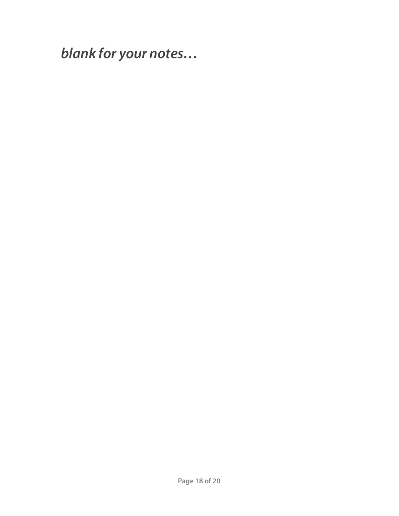blank for your notes…